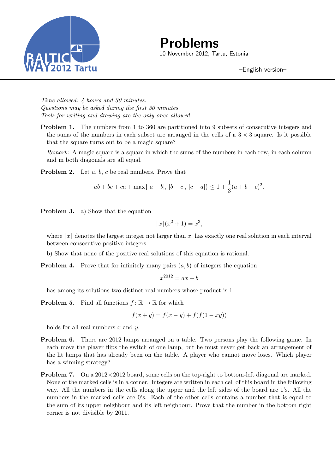

**Problems** 10 November 2012, Tartu, Estonia

–English version–

*Time allowed: 4 hours and 30 minutes. Questions may be asked during the first 30 minutes. Tools for writing and drawing are the only ones allowed.*

**Problem 1.** The numbers from 1 to 360 are partitioned into 9 subsets of consecutive integers and the sums of the numbers in each subset are arranged in the cells of a  $3 \times 3$  square. Is it possible that the square turns out to be a magic square?

*Remark:* A magic square is a square in which the sums of the numbers in each row, in each column and in both diagonals are all equal.

**Problem 2.** Let *a*, *b*, *c* be real numbers. Prove that

$$
ab + bc + ca + \max\{|a - b|, |b - c|, |c - a|\} \le 1 + \frac{1}{3}(a + b + c)^2.
$$

**Problem 3.** a) Show that the equation

$$
\lfloor x \rfloor (x^2 + 1) = x^3,
$$

where  $|x|$  denotes the largest integer not larger than x, has exactly one real solution in each interval between consecutive positive integers.

- b) Show that none of the positive real solutions of this equation is rational.
- **Problem 4.** Prove that for infinitely many pairs  $(a, b)$  of integers the equation

$$
x^{2012} = ax + b
$$

has among its solutions two distinct real numbers whose product is 1.

**Problem 5.** Find all functions  $f: \mathbb{R} \to \mathbb{R}$  for which

$$
f(x + y) = f(x - y) + f(f(1 - xy))
$$

holds for all real numbers *x* and *y*.

- **Problem 6.** There are 2012 lamps arranged on a table. Two persons play the following game. In each move the player flips the switch of one lamp, but he must never get back an arrangement of the lit lamps that has already been on the table. A player who cannot move loses. Which player has a winning strategy?
- **Problem 7.** On a 2012 $\times$ 2012 board, some cells on the top-right to bottom-left diagonal are marked. None of the marked cells is in a corner. Integers are written in each cell of this board in the following way. All the numbers in the cells along the upper and the left sides of the board are 1's. All the numbers in the marked cells are 0's. Each of the other cells contains a number that is equal to the sum of its upper neighbour and its left neighbour. Prove that the number in the bottom right corner is not divisible by 2011.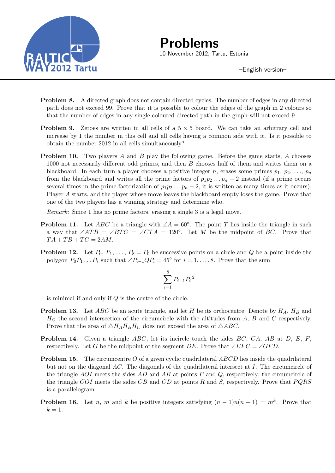

**Problems** 10 November 2012, Tartu, Estonia

–English version–

- **Problem 8.** A directed graph does not contain directed cycles. The number of edges in any directed path does not exceed 99. Prove that it is possible to colour the edges of the graph in 2 colours so that the number of edges in any single-coloured directed path in the graph will not exceed 9.
- **Problem 9.** Zeroes are written in all cells of a  $5 \times 5$  board. We can take an arbitrary cell and increase by 1 the number in this cell and all cells having a common side with it. Is it possible to obtain the number 2012 in all cells simultaneously?
- **Problem 10.** Two players *A* and *B* play the following game. Before the game starts, *A* chooses 1000 not necessarily different odd primes, and then *B* chooses half of them and writes them on a blackboard. In each turn a player chooses a positive integer *n*, erases some primes  $p_1, p_2, \ldots, p_n$ from the blackboard and writes all the prime factors of  $p_1p_2 \tldots p_n-2$  instead (if a prime occurs several times in the prime factorization of  $p_1p_2 \tldots p_n-2$ , it is written as many times as it occurs). Player *A* starts, and the player whose move leaves the blackboard empty loses the game. Prove that one of the two players has a winning strategy and determine who.

*Remark:* Since 1 has no prime factors, erasing a single 3 is a legal move.

- **Problem 11.** Let *ABC* be a triangle with  $\angle A = 60^\circ$ . The point *T* lies inside the triangle in such a way that  $\angle ATB = \angle BTC = \angle CTA = 120^\circ$ . Let *M* be the midpoint of *BC*. Prove that  $TA + TB + TC = 2AM$ .
- **Problem 12.** Let  $P_0, P_1, \ldots, P_8 = P_0$  be successive points on a circle and *Q* be a point inside the polygon  $P_0P_1 \ldots P_7$  such that  $\angle P_{i-1}QP_i = 45^\circ$  for  $i = 1, \ldots, 8$ . Prove that the sum

$$
\sum_{i=1}^{8} P_{i-1} P_i{}^2
$$

is minimal if and only if *Q* is the centre of the circle.

- **Problem 13.** Let *ABC* be an acute triangle, and let *H* be its orthocentre. Denote by *HA*, *H<sup>B</sup>* and *H<sup>C</sup>* the second intersection of the circumcircle with the altitudes from *A*, *B* and *C* respectively. Prove that the area of  $\triangle H_A H_B H_C$  does not exceed the area of  $\triangle ABC$ .
- **Problem 14.** Given a triangle *ABC*, let its incircle touch the sides *BC*, *CA*, *AB* at *D*, *E*, *F*, respectively. Let *G* be the midpoint of the segment *DE*. Prove that  $\angle EFC = \angle GFD$ .
- **Problem 15.** The circumcentre *O* of a given cyclic quadrilateral *ABCD* lies inside the quadrilateral but not on the diagonal *AC*. The diagonals of the quadrilateral intersect at *I*. The circumcircle of the triangle *AOI* meets the sides *AD* and *AB* at points *P* and *Q*, respectively; the circumcircle of the triangle *COI* meets the sides *CB* and *CD* at points *R* and *S*, respectively. Prove that *P QRS* is a parallelogram.
- **Problem 16.** Let *n*, *m* and *k* be positive integers satisfying  $(n-1)n(n+1) = m^k$ . Prove that  $k = 1$ .